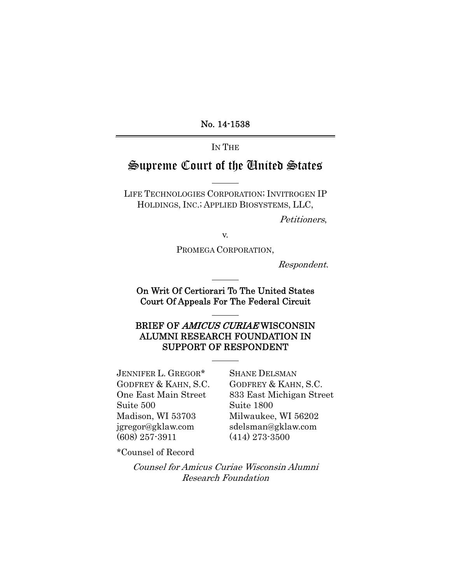No. 14-1538

## IN THE

# Supreme Court of the United States

LIFE TECHNOLOGIES CORPORATION; INVITROGEN IP HOLDINGS, INC.; APPLIED BIOSYSTEMS, LLC,

Petitioners,

v.

PROMEGA CORPORATION,

Respondent.

On Writ Of Certiorari To The United States Court Of Appeals For The Federal Circuit

## BRIEF OF AMICUS CURIAE WISCONSIN ALUMNI RESEARCH FOUNDATION IN SUPPORT OF RESPONDENT

JENNIFER L. GREGOR\* GODFREY & KAHN, S.C. One East Main Street Suite 500 Madison, WI 53703 jgregor@gklaw.com (608) 257-3911

SHANE DELSMAN GODFREY & KAHN, S.C. 833 East Michigan Street Suite 1800 Milwaukee, WI 56202 sdelsman@gklaw.com (414) 273-3500

\*Counsel of Record

Counsel for Amicus Curiae Wisconsin Alumni Research Foundation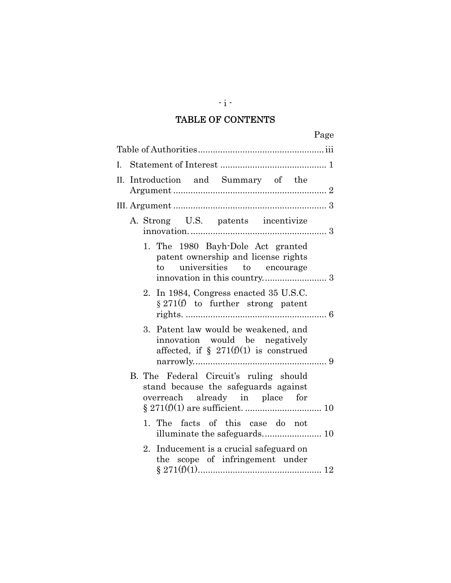# TABLE OF CONTENTS

|  | II. Introduction and Summary of the                                                                                |  |  |
|--|--------------------------------------------------------------------------------------------------------------------|--|--|
|  |                                                                                                                    |  |  |
|  | A. Strong U.S. patents incentivize                                                                                 |  |  |
|  | 1. The 1980 Bayh-Dole Act granted<br>patent ownership and license rights<br>universities to encourage<br>to        |  |  |
|  | 2. In 1984, Congress enacted 35 U.S.C.<br>$\S 271(f)$ to further strong patent                                     |  |  |
|  | 3. Patent law would be weakened, and<br>innovation would be negatively<br>affected, if $\S$ 271(f)(1) is construed |  |  |
|  | B. The Federal Circuit's ruling should<br>stand because the safeguards against<br>overreach already in place for   |  |  |
|  | 1. The facts of this case do not                                                                                   |  |  |
|  | Inducement is a crucial safeguard on<br>2.<br>the scope of infringement under                                      |  |  |

 $-i$  -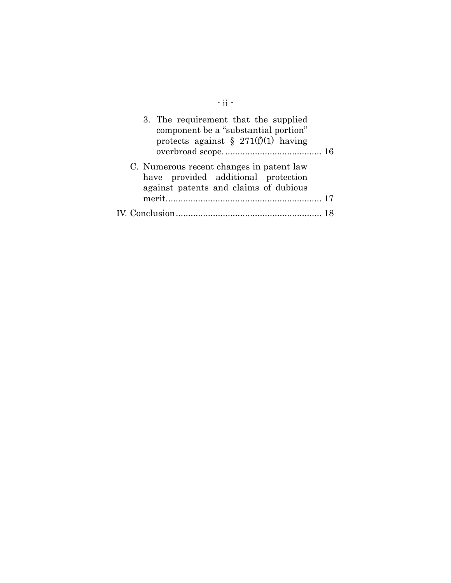| $-ii -$                                                                                                                  |     |
|--------------------------------------------------------------------------------------------------------------------------|-----|
| 3. The requirement that the supplied<br>component be a "substantial portion"<br>protects against § 271(f)(1) having      |     |
| C. Numerous recent changes in patent law<br>have provided additional protection<br>against patents and claims of dubious | -17 |
|                                                                                                                          |     |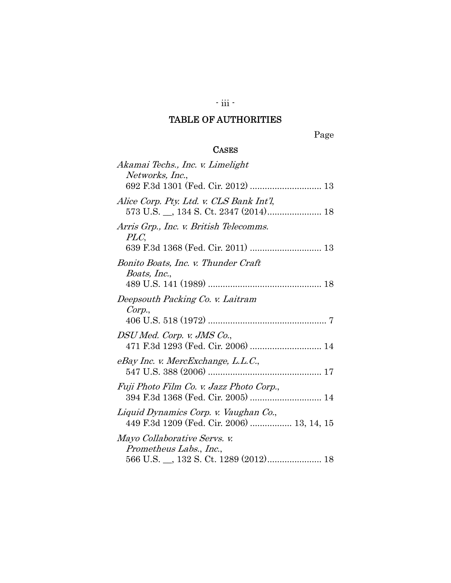# - iii -

# TABLE OF AUTHORITIES

Page

## **CASES**

| Akamai Techs., Inc. v. Limelight<br>Networks, Inc.,                                 |
|-------------------------------------------------------------------------------------|
|                                                                                     |
| Alice Corp. Pty. Ltd. v. CLS Bank Int'l,                                            |
| Arris Grp., Inc. v. British Telecomms.<br>PLC,                                      |
| Bonito Boats, Inc. v. Thunder Craft<br>Boats, Inc.,                                 |
|                                                                                     |
| Deepsouth Packing Co. v. Laitram<br>Corp.,                                          |
| DSU Med. Corp. v. JMS Co.,<br>471 F.3d 1293 (Fed. Cir. 2006)  14                    |
| eBay Inc. v. MercExchange, L.L.C.,                                                  |
| Fuji Photo Film Co. v. Jazz Photo Corp.,<br>394 F.3d 1368 (Fed. Cir. 2005)  14      |
| Liquid Dynamics Corp. v. Vaughan Co.,<br>449 F.3d 1209 (Fed. Cir. 2006)  13, 14, 15 |
| Mayo Collaborative Servs. v.<br>Prometheus Labs., Inc.,                             |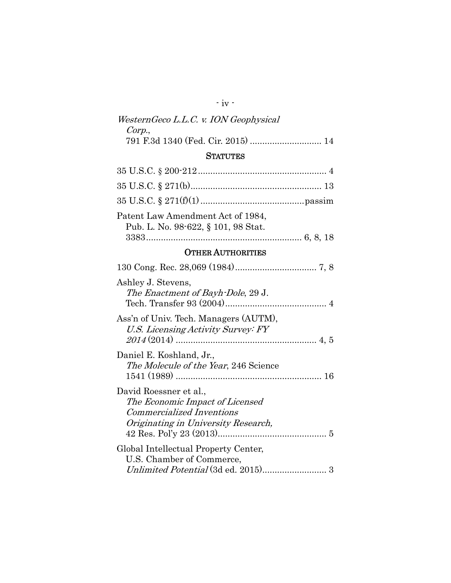## - iv -

## WesternGeco L.L.C. v. ION Geophysical Corp., 791 F.3d 1340 (Fed. Cir. 2015) ............................. 14

## **STATUTES**

| Patent Law Amendment Act of 1984,<br>Pub. L. No. 98-622, § 101, 98 Stat. |  |
|--------------------------------------------------------------------------|--|
|                                                                          |  |

## OTHER AUTHORITIES

| Ashley J. Stevens,<br>The Enactment of Bayh-Dole, 29 J.                                                                              |
|--------------------------------------------------------------------------------------------------------------------------------------|
| Ass'n of Univ. Tech. Managers (AUTM),<br>U.S. Licensing Activity Survey: FY                                                          |
| Daniel E. Koshland, Jr.,<br><i>The Molecule of the Year</i> , 246 Science                                                            |
| David Roessner et al.,<br>The Economic Impact of Licensed<br><i>Commercialized Inventions</i><br>Originating in University Research, |
| Global Intellectual Property Center,<br>U.S. Chamber of Commerce,                                                                    |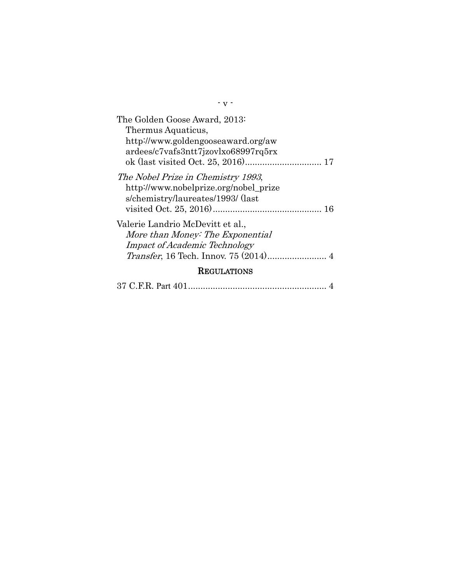| The Golden Goose Award, 2013:<br>Thermus Aquaticus,<br>http://www.goldengooseaward.org/aw<br>ardees/c7vafs3ntt7jzovlxo68997rq5rx |  |  |  |  |
|----------------------------------------------------------------------------------------------------------------------------------|--|--|--|--|
| The Nobel Prize in Chemistry 1993,<br>http://www.nobelprize.org/nobel_prize<br>s/chemistry/laureates/1993/ (last                 |  |  |  |  |
| Valerie Landrio McDevitt et al.,<br>More than Money: The Exponential<br><b>Impact of Academic Technology</b>                     |  |  |  |  |
| <b>REGULATIONS</b>                                                                                                               |  |  |  |  |

- v -

|--|--|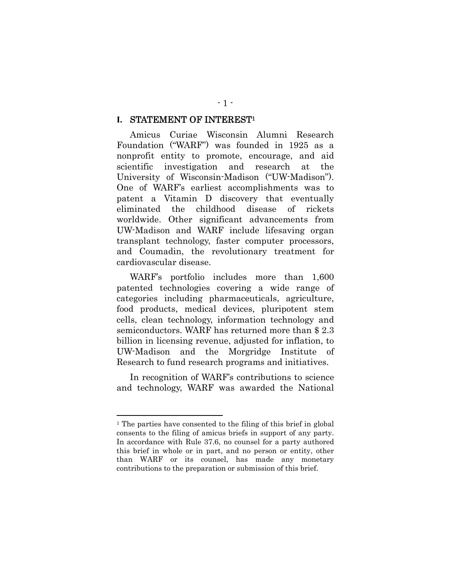#### STATEMENT OF INTEREST1 **I.**

Amicus Curiae Wisconsin Alumni Research Foundation ("WARF") was founded in 1925 as a nonprofit entity to promote, encourage, and aid scientific investigation and research at the University of Wisconsin-Madison ("UW-Madison"). One of WARF's earliest accomplishments was to patent a Vitamin D discovery that eventually eliminated the childhood disease of rickets worldwide. Other significant advancements from UW-Madison and WARF include lifesaving organ transplant technology, faster computer processors, and Coumadin, the revolutionary treatment for cardiovascular disease.

WARF's portfolio includes more than 1,600 patented technologies covering a wide range of categories including pharmaceuticals, agriculture, food products, medical devices, pluripotent stem cells, clean technology, information technology and semiconductors. WARF has returned more than \$ 2.3 billion in licensing revenue, adjusted for inflation, to UW-Madison and the Morgridge Institute of Research to fund research programs and initiatives.

In recognition of WARF's contributions to science and technology, WARF was awarded the National

l

<sup>1</sup> The parties have consented to the filing of this brief in global consents to the filing of amicus briefs in support of any party. In accordance with Rule 37.6, no counsel for a party authored this brief in whole or in part, and no person or entity, other than WARF or its counsel, has made any monetary contributions to the preparation or submission of this brief.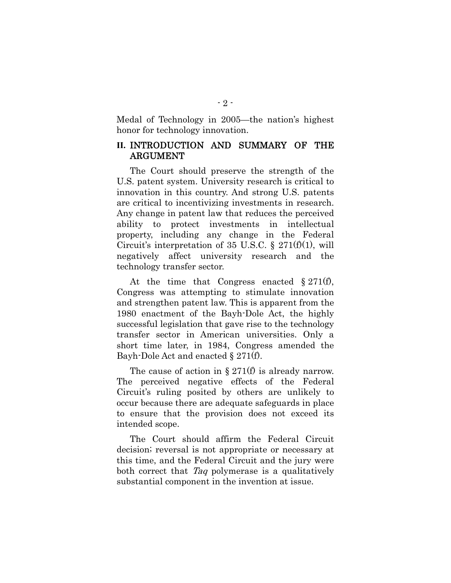Medal of Technology in 2005—the nation's highest honor for technology innovation.

## **II.** INTRODUCTION AND SUMMARY OF THE ARGUMENT

The Court should preserve the strength of the U.S. patent system. University research is critical to innovation in this country. And strong U.S. patents are critical to incentivizing investments in research. Any change in patent law that reduces the perceived ability to protect investments in intellectual property, including any change in the Federal Circuit's interpretation of 35 U.S.C.  $\S 271(f)(1)$ , will negatively affect university research and the technology transfer sector.

At the time that Congress enacted § 271(f), Congress was attempting to stimulate innovation and strengthen patent law. This is apparent from the 1980 enactment of the Bayh-Dole Act, the highly successful legislation that gave rise to the technology transfer sector in American universities. Only a short time later, in 1984, Congress amended the Bayh-Dole Act and enacted § 271(f).

The cause of action in  $\S 271(f)$  is already narrow. The perceived negative effects of the Federal Circuit's ruling posited by others are unlikely to occur because there are adequate safeguards in place to ensure that the provision does not exceed its intended scope.

The Court should affirm the Federal Circuit decision; reversal is not appropriate or necessary at this time, and the Federal Circuit and the jury were both correct that Taq polymerase is a qualitatively substantial component in the invention at issue.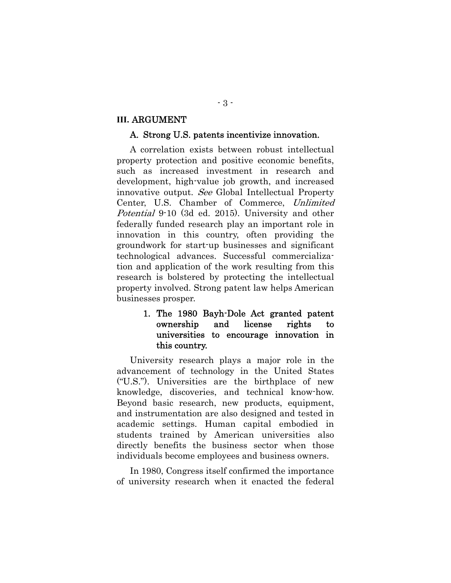#### **III.** ARGUMENT

#### A. Strong U.S. patents incentivize innovation.

A correlation exists between robust intellectual property protection and positive economic benefits, such as increased investment in research and development, high-value job growth, and increased innovative output. See Global Intellectual Property Center, U.S. Chamber of Commerce, Unlimited Potential 9-10 (3d ed. 2015). University and other federally funded research play an important role in innovation in this country, often providing the groundwork for start-up businesses and significant technological advances. Successful commercialization and application of the work resulting from this research is bolstered by protecting the intellectual property involved. Strong patent law helps American businesses prosper.

## 1. The 1980 Bayh-Dole Act granted patent ownership and license rights to universities to encourage innovation in this country.

University research plays a major role in the advancement of technology in the United States ("U.S."). Universities are the birthplace of new knowledge, discoveries, and technical know-how. Beyond basic research, new products, equipment, and instrumentation are also designed and tested in academic settings. Human capital embodied in students trained by American universities also directly benefits the business sector when those individuals become employees and business owners.

In 1980, Congress itself confirmed the importance of university research when it enacted the federal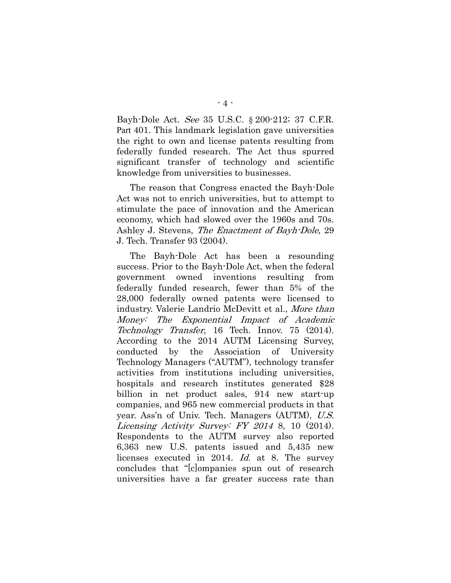Bayh-Dole Act. See 35 U.S.C. § 200-212; 37 C.F.R. Part 401. This landmark legislation gave universities the right to own and license patents resulting from federally funded research. The Act thus spurred significant transfer of technology and scientific knowledge from universities to businesses.

The reason that Congress enacted the Bayh-Dole Act was not to enrich universities, but to attempt to stimulate the pace of innovation and the American economy, which had slowed over the 1960s and 70s. Ashley J. Stevens, The Enactment of Bayh-Dole, 29 J. Tech. Transfer 93 (2004).

The Bayh-Dole Act has been a resounding success. Prior to the Bayh-Dole Act, when the federal government owned inventions resulting from federally funded research, fewer than 5% of the 28,000 federally owned patents were licensed to industry. Valerie Landrio McDevitt et al., More than Money: The Exponential Impact of Academic Technology Transfer, 16 Tech. Innov. 75 (2014). According to the 2014 AUTM Licensing Survey, conducted by the Association of University Technology Managers ("AUTM"), technology transfer activities from institutions including universities, hospitals and research institutes generated \$28 billion in net product sales, 914 new start-up companies, and 965 new commercial products in that year. Ass'n of Univ. Tech. Managers (AUTM), U.S. Licensing Activity Survey: FY 2014 8, 10 (2014). Respondents to the AUTM survey also reported 6,363 new U.S. patents issued and 5,435 new licenses executed in 2014. Id. at 8. The survey concludes that "[c]ompanies spun out of research universities have a far greater success rate than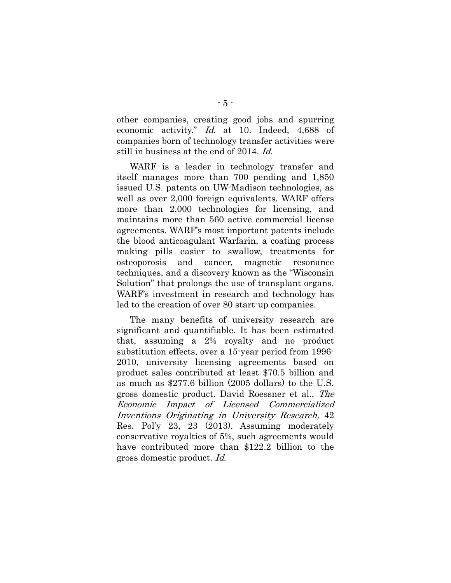other companies, creating good jobs and spurring economic activity." Id. at 10. Indeed, 4,688 of companies born of technology transfer activities were still in business at the end of 2014. Id.

WARF is a leader in technology transfer and itself manages more than 700 pending and 1,850 issued U.S. patents on UW-Madison technologies, as well as over 2,000 foreign equivalents. WARF offers more than 2,000 technologies for licensing, and maintains more than 560 active commercial license agreements. WARF's most important patents include the blood anticoagulant Warfarin, a coating process making pills easier to swallow, treatments for osteoporosis and cancer, magnetic resonance techniques, and a discovery known as the "Wisconsin Solution" that prolongs the use of transplant organs. WARF's investment in research and technology has led to the creation of over 80 start-up companies.

The many benefits of university research are significant and quantifiable. It has been estimated that, assuming a 2% royalty and no product substitution effects, over a 15-year period from 1996- 2010, university licensing agreements based on product sales contributed at least \$70.5 billion and as much as \$277.6 billion (2005 dollars) to the U.S. gross domestic product. David Roessner et al., The Economic Impact of Licensed Commercialized Inventions Originating in University Research, 42 Res. Pol'y 23, 23 (2013). Assuming moderately conservative royalties of 5%, such agreements would have contributed more than \$122.2 billion to the gross domestic product. Id.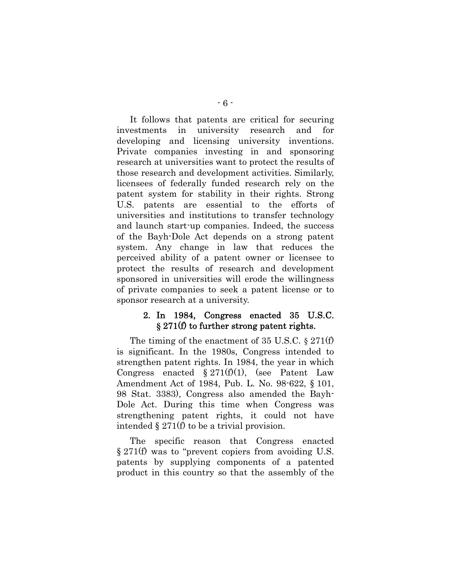It follows that patents are critical for securing investments in university research and for developing and licensing university inventions. Private companies investing in and sponsoring research at universities want to protect the results of those research and development activities. Similarly, licensees of federally funded research rely on the patent system for stability in their rights. Strong U.S. patents are essential to the efforts of universities and institutions to transfer technology and launch start-up companies. Indeed, the success of the Bayh-Dole Act depends on a strong patent system. Any change in law that reduces the perceived ability of a patent owner or licensee to protect the results of research and development sponsored in universities will erode the willingness of private companies to seek a patent license or to sponsor research at a university.

### 2. In 1984, Congress enacted 35 U.S.C. **§** 271(f) to further strong patent rights.

The timing of the enactment of 35 U.S.C. § 271(f) is significant. In the 1980s, Congress intended to strengthen patent rights. In 1984, the year in which Congress enacted  $\S 271(f)(1)$ , (see Patent Law Amendment Act of 1984, Pub. L. No. 98-622, § 101, 98 Stat. 3383), Congress also amended the Bayh-Dole Act. During this time when Congress was strengthening patent rights, it could not have intended § 271(f) to be a trivial provision.

The specific reason that Congress enacted § 271(f) was to "prevent copiers from avoiding U.S. patents by supplying components of a patented product in this country so that the assembly of the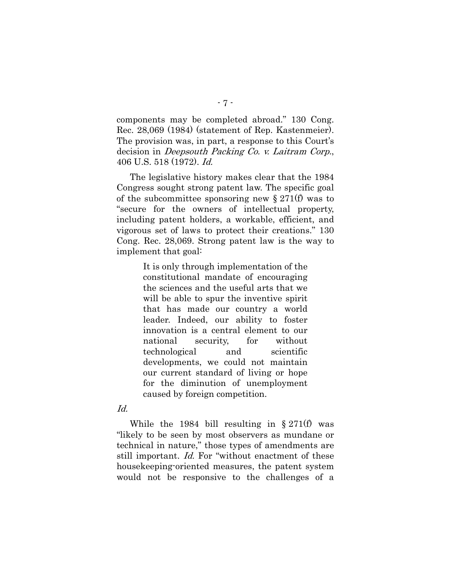components may be completed abroad." 130 Cong. Rec. 28,069 (1984) (statement of Rep. Kastenmeier). The provision was, in part, a response to this Court's decision in Deepsouth Packing Co. v. Laitram Corp., 406 U.S. 518 (1972). Id.

The legislative history makes clear that the 1984 Congress sought strong patent law. The specific goal of the subcommittee sponsoring new  $\S 271(f)$  was to "secure for the owners of intellectual property, including patent holders, a workable, efficient, and vigorous set of laws to protect their creations." 130 Cong. Rec. 28,069. Strong patent law is the way to implement that goal:

> It is only through implementation of the constitutional mandate of encouraging the sciences and the useful arts that we will be able to spur the inventive spirit that has made our country a world leader. Indeed, our ability to foster innovation is a central element to our national security, for without technological and scientific developments, we could not maintain our current standard of living or hope for the diminution of unemployment caused by foreign competition.

#### Id.

While the 1984 bill resulting in § 271(f) was "likely to be seen by most observers as mundane or technical in nature," those types of amendments are still important. Id. For "without enactment of these housekeeping-oriented measures, the patent system would not be responsive to the challenges of a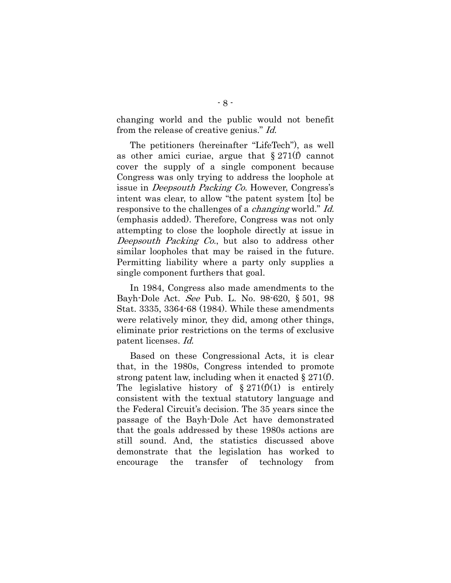changing world and the public would not benefit from the release of creative genius." Id.

The petitioners (hereinafter "LifeTech"), as well as other amici curiae, argue that  $\S 271(f)$  cannot cover the supply of a single component because Congress was only trying to address the loophole at issue in Deepsouth Packing Co. However, Congress's intent was clear, to allow "the patent system [to] be responsive to the challenges of a *changing* world." Id. (emphasis added). Therefore, Congress was not only attempting to close the loophole directly at issue in Deepsouth Packing Co., but also to address other similar loopholes that may be raised in the future. Permitting liability where a party only supplies a single component furthers that goal.

In 1984, Congress also made amendments to the Bayh-Dole Act. See Pub. L. No. 98-620, § 501, 98 Stat. 3335, 3364-68 (1984). While these amendments were relatively minor, they did, among other things, eliminate prior restrictions on the terms of exclusive patent licenses. Id.

Based on these Congressional Acts, it is clear that, in the 1980s, Congress intended to promote strong patent law, including when it enacted  $\S 271(f)$ . The legislative history of  $\S 271(f)(1)$  is entirely consistent with the textual statutory language and the Federal Circuit's decision. The 35 years since the passage of the Bayh-Dole Act have demonstrated that the goals addressed by these 1980s actions are still sound. And, the statistics discussed above demonstrate that the legislation has worked to encourage the transfer of technology from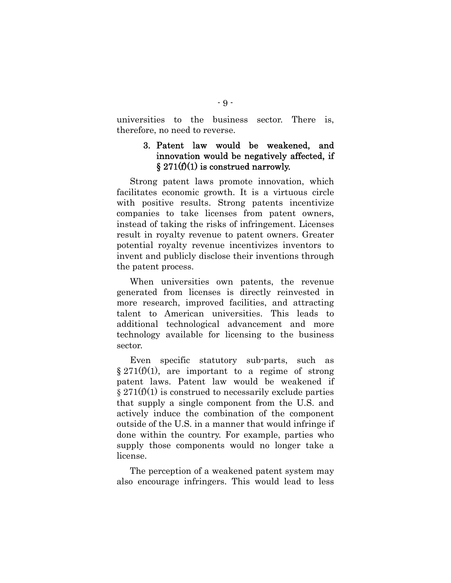universities to the business sector. There is, therefore, no need to reverse.

## 3. Patent law would be weakened, and innovation would be negatively affected, if  $\S 271(f)(1)$  is construed narrowly.

Strong patent laws promote innovation, which facilitates economic growth. It is a virtuous circle with positive results. Strong patents incentivize companies to take licenses from patent owners, instead of taking the risks of infringement. Licenses result in royalty revenue to patent owners. Greater potential royalty revenue incentivizes inventors to invent and publicly disclose their inventions through the patent process.

When universities own patents, the revenue generated from licenses is directly reinvested in more research, improved facilities, and attracting talent to American universities. This leads to additional technological advancement and more technology available for licensing to the business sector.

Even specific statutory sub-parts, such as  $\S 271(f)(1)$ , are important to a regime of strong patent laws. Patent law would be weakened if  $\S 271(f)(1)$  is construed to necessarily exclude parties that supply a single component from the U.S. and actively induce the combination of the component outside of the U.S. in a manner that would infringe if done within the country. For example, parties who supply those components would no longer take a license.

The perception of a weakened patent system may also encourage infringers. This would lead to less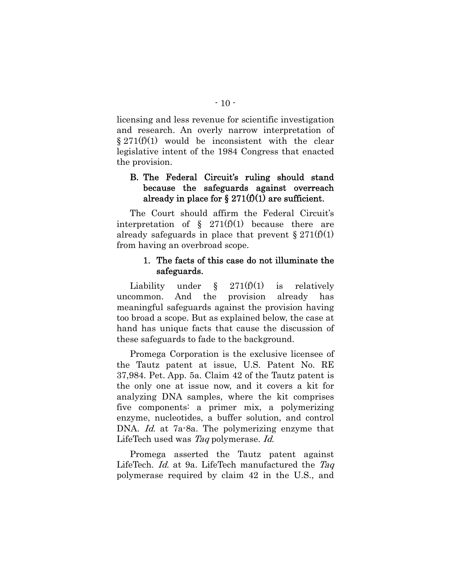licensing and less revenue for scientific investigation and research. An overly narrow interpretation of  $\S 271(f)(1)$  would be inconsistent with the clear legislative intent of the 1984 Congress that enacted the provision.

## B. The Federal Circuit's ruling should stand because the safeguards against overreach already in place for  $\S 271(f)(1)$  are sufficient.

The Court should affirm the Federal Circuit's interpretation of  $\S$  271(f)(1) because there are already safeguards in place that prevent  $\S 271(f)(1)$ from having an overbroad scope.

## 1. The facts of this case do not illuminate the safeguards.

Liability under  $\S$  271(f)(1) is relatively uncommon. And the provision already has meaningful safeguards against the provision having too broad a scope. But as explained below, the case at hand has unique facts that cause the discussion of these safeguards to fade to the background.

Promega Corporation is the exclusive licensee of the Tautz patent at issue, U.S. Patent No. RE 37,984. Pet. App. 5a. Claim 42 of the Tautz patent is the only one at issue now, and it covers a kit for analyzing DNA samples, where the kit comprises five components: a primer mix, a polymerizing enzyme, nucleotides, a buffer solution, and control DNA. Id. at 7a-8a. The polymerizing enzyme that LifeTech used was Taq polymerase. Id.

Promega asserted the Tautz patent against LifeTech. *Id.* at 9a. LifeTech manufactured the Taq polymerase required by claim 42 in the U.S., and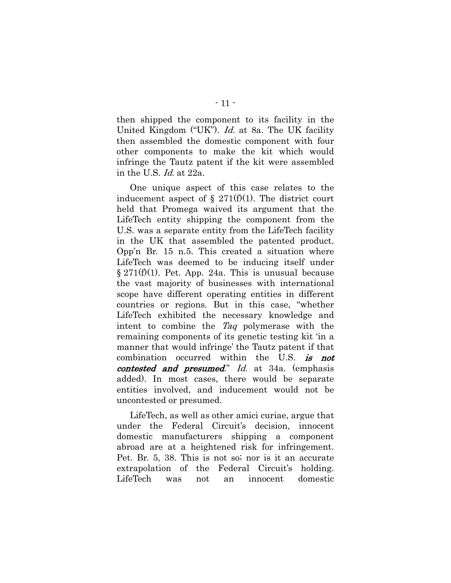then shipped the component to its facility in the United Kingdom ("UK"). *Id.* at 8a. The UK facility then assembled the domestic component with four other components to make the kit which would infringe the Tautz patent if the kit were assembled in the U.S. Id. at 22a.

One unique aspect of this case relates to the inducement aspect of  $\S$  271(f)(1). The district court held that Promega waived its argument that the LifeTech entity shipping the component from the U.S. was a separate entity from the LifeTech facility in the UK that assembled the patented product. Opp'n Br. 15 n.5. This created a situation where LifeTech was deemed to be inducing itself under  $\S 271(f)(1)$ . Pet. App. 24a. This is unusual because the vast majority of businesses with international scope have different operating entities in different countries or regions. But in this case, "whether LifeTech exhibited the necessary knowledge and intent to combine the Taq polymerase with the remaining components of its genetic testing kit 'in a manner that would infringe' the Tautz patent if that combination occurred within the U.S. is not contested and presumed." Id. at 34a. (emphasis added). In most cases, there would be separate entities involved, and inducement would not be uncontested or presumed.

LifeTech, as well as other amici curiae, argue that under the Federal Circuit's decision, innocent domestic manufacturers shipping a component abroad are at a heightened risk for infringement. Pet. Br. 5, 38. This is not so; nor is it an accurate extrapolation of the Federal Circuit's holding. LifeTech was not an innocent domestic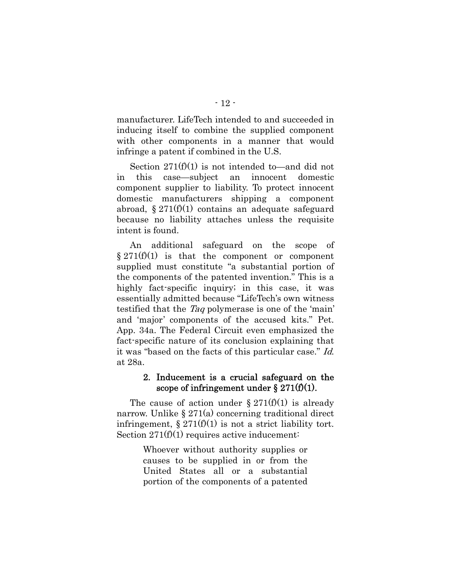manufacturer. LifeTech intended to and succeeded in inducing itself to combine the supplied component with other components in a manner that would infringe a patent if combined in the U.S.

Section 271(f)(1) is not intended to—and did not in this case—subject an innocent domestic component supplier to liability. To protect innocent domestic manufacturers shipping a component abroad,  $\S 271(f)(1)$  contains an adequate safeguard because no liability attaches unless the requisite intent is found.

An additional safeguard on the scope of  $§ 271(f)(1)$  is that the component or component supplied must constitute "a substantial portion of the components of the patented invention." This is a highly fact-specific inquiry; in this case, it was essentially admitted because "LifeTech's own witness testified that the Taq polymerase is one of the 'main' and 'major' components of the accused kits." Pet. App. 34a. The Federal Circuit even emphasized the fact-specific nature of its conclusion explaining that it was "based on the facts of this particular case." Id. at 28a.

### 2. Inducement is a crucial safeguard on the scope of infringement under  $\S 271(f)(1)$ .

The cause of action under  $\S 271(f)(1)$  is already narrow. Unlike § 271(a) concerning traditional direct infringement,  $\S 271(f)(1)$  is not a strict liability tort. Section 271(f)(1) requires active inducement:

> Whoever without authority supplies or causes to be supplied in or from the United States all or a substantial portion of the components of a patented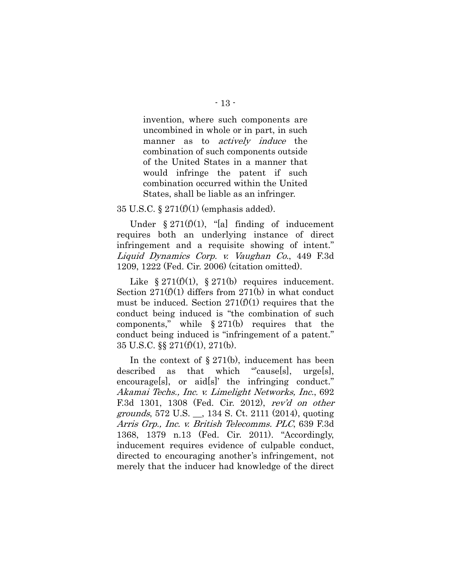invention, where such components are uncombined in whole or in part, in such manner as to *actively induce* the combination of such components outside of the United States in a manner that would infringe the patent if such combination occurred within the United States, shall be liable as an infringer.

#### 35 U.S.C. § 271(f)(1) (emphasis added).

Under  $\S 271(f)(1)$ , "[a] finding of inducement requires both an underlying instance of direct infringement and a requisite showing of intent." Liquid Dynamics Corp. v. Vaughan Co., 449 F.3d 1209, 1222 (Fed. Cir. 2006) (citation omitted).

Like  $\S 271(f)(1)$ ,  $\S 271(b)$  requires inducement. Section  $271(f)(1)$  differs from  $271(b)$  in what conduct must be induced. Section  $271(f)(1)$  requires that the conduct being induced is "the combination of such components," while  $\S 271(b)$  requires that the conduct being induced is "infringement of a patent." 35 U.S.C. §§ 271(f)(1), 271(b).

In the context of  $\S 271(b)$ , inducement has been described as that which "cause[s], urge[s], encourage[s], or aid[s]' the infringing conduct." Akamai Techs., Inc. v. Limelight Networks, Inc., 692 F.3d 1301, 1308 (Fed. Cir. 2012), rev'd on other grounds, 572 U.S. \_\_, 134 S. Ct. 2111 (2014), quoting Arris Grp., Inc. v. British Telecomms. PLC, 639 F.3d 1368, 1379 n.13 (Fed. Cir. 2011). "Accordingly, inducement requires evidence of culpable conduct, directed to encouraging another's infringement, not merely that the inducer had knowledge of the direct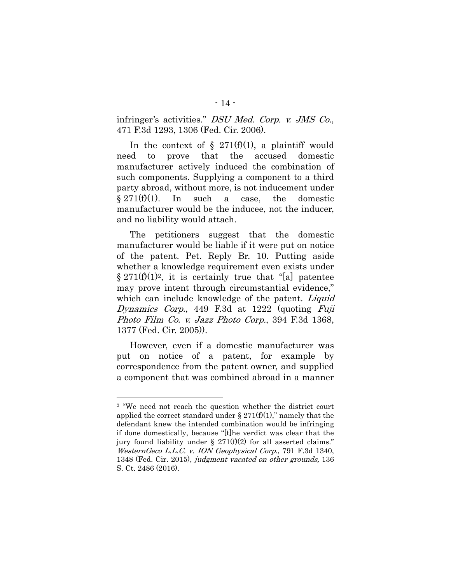infringer's activities." DSU Med. Corp. v. JMS Co., 471 F.3d 1293, 1306 (Fed. Cir. 2006).

In the context of  $\S$  271(f)(1), a plaintiff would need to prove that the accused domestic manufacturer actively induced the combination of such components. Supplying a component to a third party abroad, without more, is not inducement under  $§ 271(f)(1)$ . In such a case, the domestic manufacturer would be the inducee, not the inducer, and no liability would attach.

The petitioners suggest that the domestic manufacturer would be liable if it were put on notice of the patent. Pet. Reply Br. 10. Putting aside whether a knowledge requirement even exists under  $\S 271(f)(1)<sup>2</sup>$ , it is certainly true that "[a] patentee may prove intent through circumstantial evidence," which can include knowledge of the patent. *Liquid* Dynamics Corp., 449 F.3d at 1222 (quoting Fuji Photo Film Co. v. Jazz Photo Corp., 394 F.3d 1368, 1377 (Fed. Cir. 2005)).

However, even if a domestic manufacturer was put on notice of a patent, for example by correspondence from the patent owner, and supplied a component that was combined abroad in a manner

l

<sup>2 &</sup>quot;We need not reach the question whether the district court applied the correct standard under  $\S 271(f)(1)$ ," namely that the defendant knew the intended combination would be infringing if done domestically, because "[t]he verdict was clear that the jury found liability under §  $271(f)(2)$  for all asserted claims." WesternGeco L.L.C. v. ION Geophysical Corp., 791 F.3d 1340, 1348 (Fed. Cir. 2015), judgment vacated on other grounds, 136 S. Ct. 2486 (2016).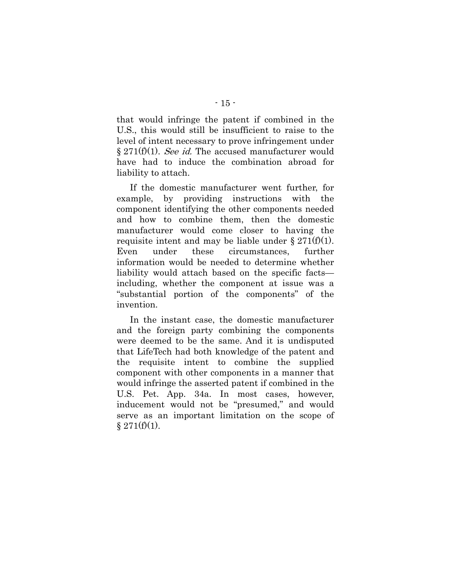that would infringe the patent if combined in the U.S., this would still be insufficient to raise to the level of intent necessary to prove infringement under  $\S 271(f)(1)$ . See id. The accused manufacturer would have had to induce the combination abroad for liability to attach.

If the domestic manufacturer went further, for example, by providing instructions with the component identifying the other components needed and how to combine them, then the domestic manufacturer would come closer to having the requisite intent and may be liable under  $\S 271(f)(1)$ . Even under these circumstances, further information would be needed to determine whether liability would attach based on the specific facts including, whether the component at issue was a "substantial portion of the components" of the invention.

In the instant case, the domestic manufacturer and the foreign party combining the components were deemed to be the same. And it is undisputed that LifeTech had both knowledge of the patent and the requisite intent to combine the supplied component with other components in a manner that would infringe the asserted patent if combined in the U.S. Pet. App. 34a. In most cases, however, inducement would not be "presumed," and would serve as an important limitation on the scope of  $§ 271(f)(1).$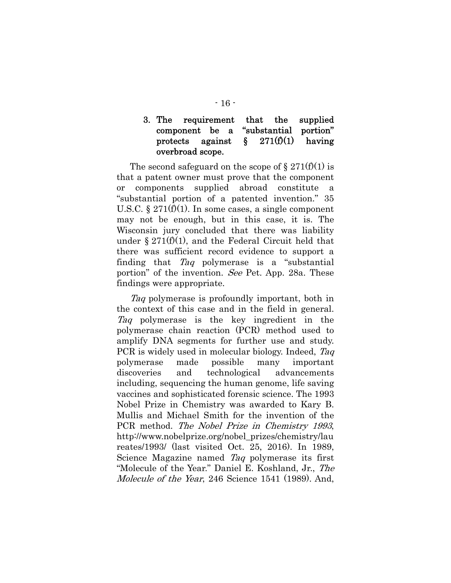## 3. The requirement that the supplied component be a "substantial portion" protects against  $\S$  271(f)(1) having overbroad scope.

The second safeguard on the scope of  $\S 271(f)(1)$  is that a patent owner must prove that the component or components supplied abroad constitute "substantial portion of a patented invention." 35 U.S.C.  $\S 271(f)(1)$ . In some cases, a single component may not be enough, but in this case, it is. The Wisconsin jury concluded that there was liability under  $\S 271(f)(1)$ , and the Federal Circuit held that there was sufficient record evidence to support a finding that Taq polymerase is a "substantial portion" of the invention. See Pet. App. 28a. These findings were appropriate.

Tag polymerase is profoundly important, both in the context of this case and in the field in general. Taq polymerase is the key ingredient in the polymerase chain reaction (PCR) method used to amplify DNA segments for further use and study. PCR is widely used in molecular biology. Indeed, Taq polymerase made possible many important discoveries and technological advancements including, sequencing the human genome, life saving vaccines and sophisticated forensic science. The 1993 Nobel Prize in Chemistry was awarded to Kary B. Mullis and Michael Smith for the invention of the PCR method. The Nobel Prize in Chemistry 1993, http://www.nobelprize.org/nobel\_prizes/chemistry/lau reates/1993/ (last visited Oct. 25, 2016). In 1989, Science Magazine named Taq polymerase its first "Molecule of the Year." Daniel E. Koshland, Jr., The Molecule of the Year, 246 Science 1541 (1989). And,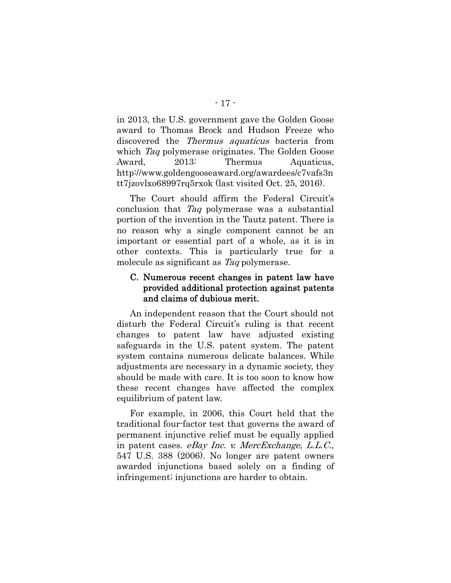in 2013, the U.S. government gave the Golden Goose award to Thomas Brock and Hudson Freeze who discovered the Thermus aquaticus bacteria from which *Taq* polymerase originates. The Golden Goose Award, 2013: Thermus Aquaticus, http://www.goldengooseaward.org/awardees/c7vafs3n tt7jzovlxo68997rq5rxok (last visited Oct. 25, 2016).

The Court should affirm the Federal Circuit's conclusion that Taq polymerase was a substantial portion of the invention in the Tautz patent. There is no reason why a single component cannot be an important or essential part of a whole, as it is in other contexts. This is particularly true for a molecule as significant as Taq polymerase.

## C. Numerous recent changes in patent law have provided additional protection against patents and claims of dubious merit.

An independent reason that the Court should not disturb the Federal Circuit's ruling is that recent changes to patent law have adjusted existing safeguards in the U.S. patent system. The patent system contains numerous delicate balances. While adjustments are necessary in a dynamic society, they should be made with care. It is too soon to know how these recent changes have affected the complex equilibrium of patent law.

For example, in 2006, this Court held that the traditional four-factor test that governs the award of permanent injunctive relief must be equally applied in patent cases. eBay Inc. v. MercExchange, L.L.C., 547 U.S. 388 (2006). No longer are patent owners awarded injunctions based solely on a finding of infringement; injunctions are harder to obtain.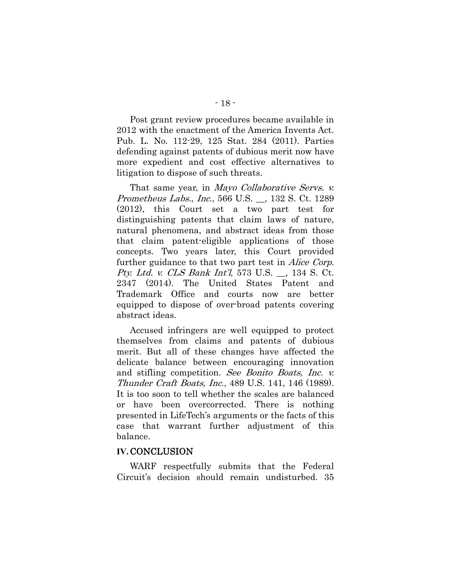Post grant review procedures became available in 2012 with the enactment of the America Invents Act. Pub. L. No. 112-29, 125 Stat. 284 (2011). Parties defending against patents of dubious merit now have more expedient and cost effective alternatives to litigation to dispose of such threats.

That same year, in *Mayo Collaborative Servs. v.* Prometheus Labs., Inc., 566 U.S. \_\_, 132 S. Ct. 1289 (2012), this Court set a two part test for distinguishing patents that claim laws of nature, natural phenomena, and abstract ideas from those that claim patent-eligible applications of those concepts. Two years later, this Court provided further guidance to that two part test in *Alice Corp.* Pty. Ltd. v. CLS Bank Int'l, 573 U.S. . 134 S. Ct. 2347 (2014). The United States Patent and Trademark Office and courts now are better equipped to dispose of over-broad patents covering abstract ideas.

Accused infringers are well equipped to protect themselves from claims and patents of dubious merit. But all of these changes have affected the delicate balance between encouraging innovation and stifling competition. See Bonito Boats, Inc. v. Thunder Craft Boats, Inc., 489 U.S. 141, 146 (1989). It is too soon to tell whether the scales are balanced or have been overcorrected. There is nothing presented in LifeTech's arguments or the facts of this case that warrant further adjustment of this balance.

#### **IV.**CONCLUSION

WARF respectfully submits that the Federal Circuit's decision should remain undisturbed. 35